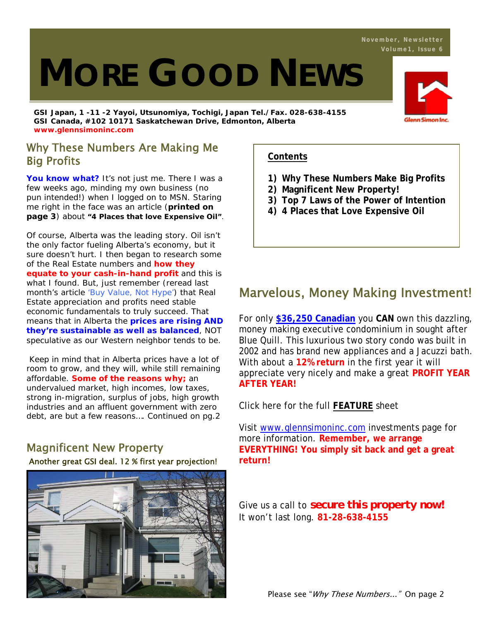# **MORE GOOD NEWS**

**GSI Japan, 1 -11 -2 Yayoi, Utsunomiya, Tochigi, Japan Tel./Fax. 028-638-4155 GSI Canada, #102 10171 Saskatchewan Drive, Edmonton, Alberta www.glennsimoninc.com** 

## Why These Numbers Are Making Me Big Profits

You know what? It's not just me. There I was a few weeks ago, minding my own business (no pun intended!) when I logged on to MSN. Staring me right in the face was an article (**printed on page 3**) about **"4 Places that love Expensive Oil"**.

Of course, Alberta was the leading story. Oil isn't the only factor fueling Alberta's economy, but it sure doesn't hurt. I then began to research some of the Real Estate numbers and **how they equate to your cash-in-hand profit** and this is what I found. But, just remember (reread last month's article 'Buy Value, Not Hype') that Real Estate appreciation and profits need stable economic fundamentals to truly succeed. That means that in Alberta the **prices are rising AND they're sustainable as well as balanced**, NOT speculative as our Western neighbor tends to be.

 Keep in mind that in Alberta prices have a lot of room to grow, and they will, while still remaining affordable. **Some of the reasons why;** an undervalued market, high incomes, low taxes, strong in-migration, surplus of jobs, high growth industries and an affluent government with zero debt, are but a few reasons…. *Continued on pg.2*

## Magnificent New Property

#### Another great GSI deal. 12 % first year projection!



## **Contents**

- **1) Why These Numbers Make Big Profits**
- **2) Magnificent New Property!**
- **3) Top 7 Laws of the Power of Intention**
- **4) 4 Places that Love Expensive Oil**

## Marvelous, Money Making Investment!

For only **\$36,250 Canadian** you **CAN** own this dazzling, money making executive condominium in sought after Blue Quill. This luxurious two story condo was built in 2002 and has brand new appliances and a Jacuzzi bath. With about a **12% return** in the first year it will appreciate very nicely and make a great **PROFIT YEAR AFTER YEAR!**

Click here for the full **FEATURE** sheet

Visit www.glennsimoninc.com investments page for more information. **Remember, we arrange EVERYTHING! You simply sit back and get a great return!** 

Give us a call to *secure this property now!* It won't last long. **81-28-638-4155**

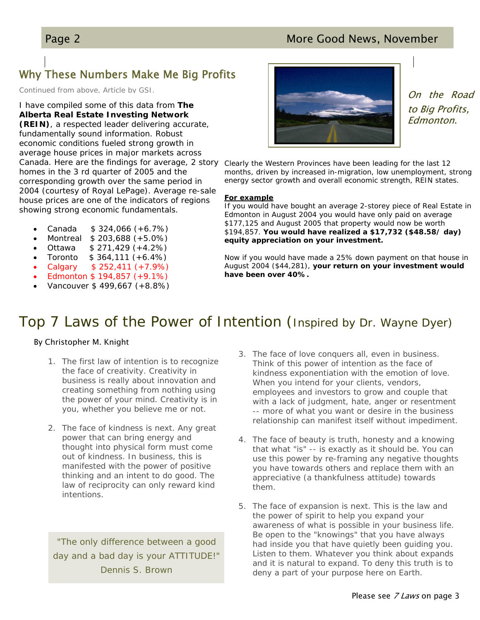## Page 2 More Good News, November

# Why These Numbers Make Me Big Profits

*Continued from above, Article by GSI.*

I have compiled some of this data from **The Alberta Real Estate Investing Network (REIN)**, a respected leader delivering accurate, fundamentally sound information. Robust economic conditions fueled strong growth in average house prices in major markets across homes in the 3 rd quarter of 2005 and the corresponding growth over the same period in 2004 (courtesy of Royal LePage). Average re-sale house prices are one of the indicators of regions showing strong economic fundamentals.

- Canada \$ 324,066 (+6.7%)
- Montreal \$ 203,688 (+5.0%)
- Ottawa \$ 271,429 (+4.2%)
- Toronto  $$364,111 (+6.4%)$
- Calgary \$ 252,411 (+7.9%)
- Edmonton \$ 194,857 (+9.1%)
- Vancouver \$ 499,667 (+8.8%)



On the Road to Big Profits, Edmonton.

Canada. Here are the findings for average, 2 story Clearly the Western Provinces have been leading for the last 12 months, driven by increased in-migration, low unemployment, strong energy sector growth and overall economic strength, REIN states.

#### **For example**

If you would have bought an average 2-storey piece of Real Estate in Edmonton in August 2004 you would have only paid on average \$177,125 and August 2005 that property would now be worth \$194,857. **You would have realized a \$17,732 (\$48.58/ day) equity appreciation on your investment.** 

Now if you would have made a 25% down payment on that house in August 2004 (\$44,281), **your return on your investment would have been over 40%.** 

## Top 7 Laws of the Power of Intention (Inspired by Dr. Wayne Dyer)

#### By Christopher M. Knight

- 1. The first law of intention is to recognize the face of creativity. Creativity in business is really about innovation and creating something from nothing using the power of your mind. Creativity is in you, whether you believe me or not.
- 2. The face of kindness is next. Any great power that can bring energy and thought into physical form must come out of kindness. In business, this is manifested with the power of positive thinking and an intent to do good. The law of reciprocity can only reward kind intentions.

*"The only difference between a good day and a bad day is your ATTITUDE!" Dennis S. Brown*

- 3. The face of love conquers all, even in business. Think of this power of intention as the face of kindness exponentiation with the emotion of love. When you intend for your clients, vendors, employees and investors to grow and couple that with a lack of judgment, hate, anger or resentment -- more of what you want or desire in the business relationship can manifest itself without impediment.
- 4. The face of beauty is truth, honesty and a knowing that what "is" -- is exactly as it should be. You can use this power by re-framing any negative thoughts you have towards others and replace them with an appreciative (a thankfulness attitude) towards them.
- 5. The face of expansion is next. This is the law and the power of spirit to help you expand your awareness of what is possible in your business life. Be open to the "knowings" that you have always had inside you that have quietly been guiding you. Listen to them. Whatever you think about expands and it is natural to expand. To deny this truth is to deny a part of your purpose here on Earth.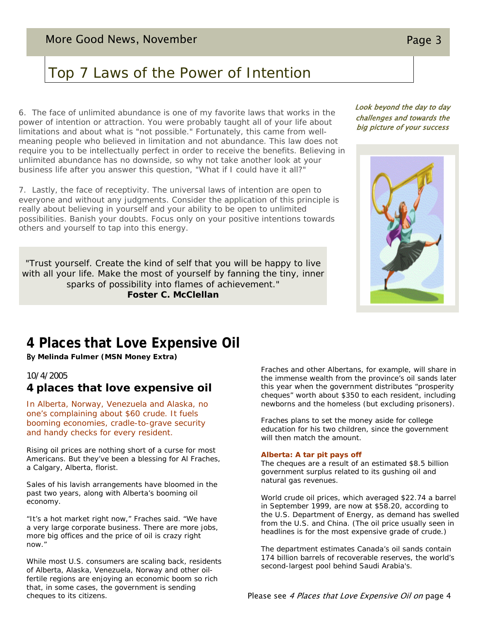# Top 7 Laws of the Power of Intention

6. The face of unlimited abundance is one of my favorite laws that works in the power of intention or attraction. You were probably taught all of your life about limitations and about what is "not possible." Fortunately, this came from wellmeaning people who believed in limitation and not abundance. This law does not require you to be intellectually perfect in order to receive the benefits. Believing in unlimited abundance has no downside, so why not take another look at your business life after you answer this question, "What if I could have it all?"

7. Lastly, the face of receptivity. The universal laws of intention are open to everyone and without any judgments. Consider the application of this principle is really about believing in yourself and your ability to be open to unlimited possibilities. Banish your doubts. Focus only on your positive intentions towards others and yourself to tap into this energy.

*"Trust yourself. Create the kind of self that you will be happy to live*  with all your life. Make the most of yourself by fanning the tiny, inner *sparks of possibility into flames of achievement." Foster C. McClellan*

#### Look beyond the day to day challenges and towards the big picture of your success



## **4 Places that Love Expensive Oil**

By **Melinda Fulmer (MSN Money Extra)**

#### *10/4/2005*

#### **4 places that love expensive oil**

In Alberta, Norway, Venezuela and Alaska, no one's complaining about \$60 crude. It fuels booming economies, cradle-to-grave security and handy checks for every resident.

Rising oil prices are nothing short of a curse for most Americans. But they've been a blessing for Al Fraches, a Calgary, Alberta, florist.

Sales of his lavish arrangements have bloomed in the past two years, along with Alberta's booming oil economy.

"It's a hot market right now," Fraches said. "We have a very large corporate business. There are more jobs, more big offices and the price of oil is crazy right now."

While most U.S. consumers are scaling back, residents of Alberta, Alaska, Venezuela, Norway and other oilfertile regions are enjoying an economic boom so rich that, in some cases, the government is sending cheques to its citizens.

Fraches and other Albertans, for example, will share in the immense wealth from the province's oil sands later this year when the government distributes "prosperity cheques" worth about \$350 to each resident, including newborns and the homeless (but excluding prisoners).

Fraches plans to set the money aside for college education for his two children, since the government will then match the amount.

#### **Alberta: A tar pit pays off**

The cheques are a result of an estimated \$8.5 billion government surplus related to its gushing oil and natural gas revenues.

World crude oil prices, which averaged \$22.74 a barrel in September 1999, are now at \$58.20, according to the U.S. Department of Energy, as demand has swelled from the U.S. and China. (The oil price usually seen in headlines is for the most expensive grade of crude.)

The department estimates Canada's oil sands contain 174 billion barrels of recoverable reserves, the world's second-largest pool behind Saudi Arabia's.

Please see 4 Places that Love Expensive Oil on page 4